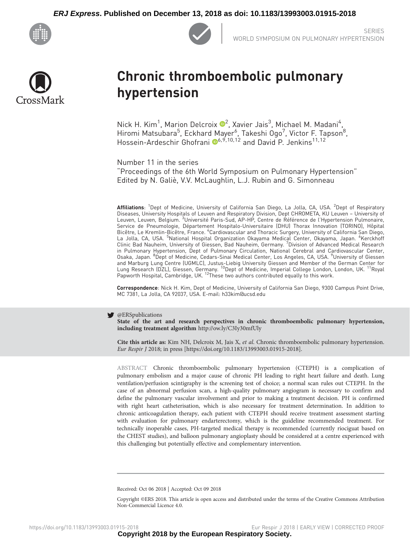**ERJ Express. Published on December 13, 2018 as doi: 10.1183/13993003.01915-2018**





<sup>|</sup> SERIES WORLD SYMPOSIUM ON PULMONARY HYPERTENSION



# Chronic thromboembolic pulmonary hypertension

Nick H. Kim<sup>1</sup>, Marion Delcroix <sup>®2</sup>, Xavier Jais<sup>3</sup>, Michael M. Madani<sup>4</sup>, Hiromi Matsubara<sup>5</sup>, Eckhard Mayer<sup>6</sup>, Takeshi Ogo<sup>7</sup>, Victor F. Tapson<sup>8</sup>, Hossein-Ardeschir Ghofrani <sup>16,9,10,12</sup> and David P. Jenkins<sup>11,12</sup>

Number 11 in the series "Proceedings of the 6th World Symposium on Pulmonary Hypertension" Edited by N. Galiè, V.V. McLaughlin, L.J. Rubin and G. Simonneau

Affiliations: <sup>1</sup>Dept of Medicine, University of California San Diego, La Jolla, CA, USA. <sup>2</sup>Dept of Respiratory Diseases, University Hospitals of Leuven and Respiratory Division, Dept CHROMETA, KU Leuven – University of Leuven, Leuven, Belgium. <sup>3</sup>Université Paris-Sud, AP-HP, Centre de Référence de l'Hypertension Pulmonaire, Service de Pneumologie, Département Hospitalo-Universitaire (DHU) Thorax Innovation (TORINO), Hôpital Bicêtre, Le Kremlin-Bicêtre, France. "Cardiovascular and Thoracic Surgery, University of California San Diego, La Jolla, CA, USA. <sup>5</sup>National Hospital Organization Okayama Medical Center, Okayama, Japan. <sup>6</sup>Kerckhoff Clinic Bad Nauheim, University of Giessen, Bad Nauheim, Germany. <sup>7</sup> Division of Advanced Medical Research in Pulmonary Hypertension, Dept of Pulmonary Circulation, National Cerebral and Cardiovascular Center, Osaka, Japan. <sup>8</sup>Dept of Medicine, Cedars-Sinai Medical Center, Los Angeles, CA, USA. <sup>9</sup>University of Giessen and Marburg Lung Centre (UGMLC), Justus-Liebig University Giessen and Member of the German Center for<br>Lung Research (DZL), Giessen, Germany. <sup>10</sup>Dept of Medicine, Imperial College London, London, UK. <sup>11</sup>Royal Papworth Hospital, Cambridge, UK. 12These two authors contributed equally to this work.

Correspondence: Nick H. Kim, Dept of Medicine, University of California San Diego, 9300 Campus Point Drive, MC 7381, La Jolla, CA 92037, USA. E-mail: [h33kim@ucsd.edu](mailto:h33kim@ucsd.edu)

# **W** @ERSpublications

State of the art and research perspectives in chronic thromboembolic pulmonary hypertension, including treatment algorithm <http://ow.ly/C3Iy30mfUly>

Cite this article as: Kim NH, Delcroix M, Jais X, et al. Chronic thromboembolic pulmonary hypertension. Eur Respir J 2018; in press [\[https://doi.org/10.1183/13993003.01915-2018\].](https://doi.org/10.1183/13993003.01915-2018)

ABSTRACT Chronic thromboembolic pulmonary hypertension (CTEPH) is a complication of pulmonary embolism and a major cause of chronic PH leading to right heart failure and death. Lung ventilation/perfusion scintigraphy is the screening test of choice; a normal scan rules out CTEPH. In the case of an abnormal perfusion scan, a high-quality pulmonary angiogram is necessary to confirm and define the pulmonary vascular involvement and prior to making a treatment decision. PH is confirmed with right heart catheterisation, which is also necessary for treatment determination. In addition to chronic anticoagulation therapy, each patient with CTEPH should receive treatment assessment starting with evaluation for pulmonary endarterectomy, which is the guideline recommended treatment. For technically inoperable cases, PH-targeted medical therapy is recommended (currently riociguat based on the CHEST studies), and balloon pulmonary angioplasty should be considered at a centre experienced with this challenging but potentially effective and complementary intervention.

Received: Oct 06 2018 | Accepted: Oct 09 2018

Copyright ©ERS 2018. This article is open access and distributed under the terms of the Creative Commons Attribution Non-Commercial Licence 4.0.

https://doi.org/10.1183/13993003.01915-2018 Eur Respir J 2018 | EARLY VIEW | CORRECTED PROOF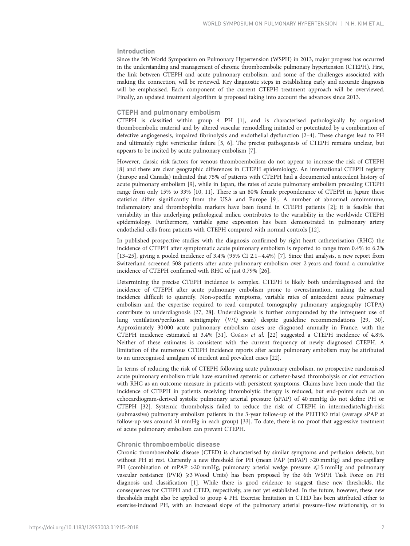# Introduction

Since the 5th World Symposium on Pulmonary Hypertension (WSPH) in 2013, major progress has occurred in the understanding and management of chronic thromboembolic pulmonary hypertension (CTEPH). First, the link between CTEPH and acute pulmonary embolism, and some of the challenges associated with making the connection, will be reviewed. Key diagnostic steps in establishing early and accurate diagnosis will be emphasised. Each component of the current CTEPH treatment approach will be overviewed. Finally, an updated treatment algorithm is proposed taking into account the advances since 2013.

# CTEPH and pulmonary embolism

CTEPH is classified within group 4 PH [\[1\]](#page-7-0), and is characterised pathologically by organised thromboembolic material and by altered vascular remodelling initiated or potentiated by a combination of defective angiogenesis, impaired fibrinolysis and endothelial dysfunction [\[2](#page-7-0)–[4](#page-7-0)]. These changes lead to PH and ultimately right ventricular failure [\[5](#page-7-0), [6](#page-7-0)]. The precise pathogenesis of CTEPH remains unclear, but appears to be incited by acute pulmonary embolism [[7](#page-7-0)].

However, classic risk factors for venous thromboembolism do not appear to increase the risk of CTEPH [\[8\]](#page-7-0) and there are clear geographic differences in CTEPH epidemiology. An international CTEPH registry (Europe and Canada) indicated that 75% of patients with CTEPH had a documented antecedent history of acute pulmonary embolism [[9\]](#page-7-0), while in Japan, the rates of acute pulmonary embolism preceding CTEPH range from only 15% to 33% [[10](#page-7-0), [11](#page-7-0)]. There is an 80% female preponderance of CTEPH in Japan; these statistics differ significantly from the USA and Europe [\[9\]](#page-7-0). A number of abnormal autoimmune, inflammatory and thrombophilia markers have been found in CTEPH patients [[2](#page-7-0)]; it is feasible that variability in this underlying pathological milieu contributes to the variability in the worldwide CTEPH epidemiology. Furthermore, variable gene expression has been demonstrated in pulmonary artery endothelial cells from patients with CTEPH compared with normal controls [[12](#page-7-0)].

In published prospective studies with the diagnosis confirmed by right heart catheterisation (RHC) the incidence of CTEPH after symptomatic acute pulmonary embolism is reported to range from 0.4% to 6.2% [\[13](#page-7-0)–[25\]](#page-7-0), giving a pooled incidence of 3.4% (95% CI 2.1−4.4%) [[7](#page-7-0)]. Since that analysis, a new report from Switzerland screened 508 patients after acute pulmonary embolism over 2 years and found a cumulative incidence of CTEPH confirmed with RHC of just 0.79% [[26](#page-7-0)].

Determining the precise CTEPH incidence is complex. CTEPH is likely both underdiagnosed and the incidence of CTEPH after acute pulmonary embolism prone to overestimation, making the actual incidence difficult to quantify. Non-specific symptoms, variable rates of antecedent acute pulmonary embolism and the expertise required to read computed tomography pulmonary angiography (CTPA) contribute to underdiagnosis [\[27, 28](#page-7-0)]. Underdiagnosis is further compounded by the infrequent use of lung ventilation/perfusion scintigraphy (V/Q scan) despite guideline recommendations [[29](#page-8-0), [30](#page-8-0)]. Approximately 30 000 acute pulmonary embolism cases are diagnosed annually in France, with the CTEPH incidence estimated at 3.4% [[31](#page-8-0)]. GUÉRIN et al. [[22\]](#page-7-0) suggested a CTEPH incidence of 4.8%. Neither of these estimates is consistent with the current frequency of newly diagnosed CTEPH. A limitation of the numerous CTEPH incidence reports after acute pulmonary embolism may be attributed to an unrecognised amalgam of incident and prevalent cases [\[22\]](#page-7-0).

In terms of reducing the risk of CTEPH following acute pulmonary embolism, no prospective randomised acute pulmonary embolism trials have examined systemic or catheter-based thrombolysis or clot extraction with RHC as an outcome measure in patients with persistent symptoms. Claims have been made that the incidence of CTEPH in patients receiving thrombolytic therapy is reduced, but end-points such as an echocardiogram-derived systolic pulmonary arterial pressure (sPAP) of 40 mmHg do not define PH or CTEPH [\[32\]](#page-8-0). Systemic thrombolysis failed to reduce the risk of CTEPH in intermediate/high-risk (submassive) pulmonary embolism patients in the 3-year follow-up of the PEITHO trial (average sPAP at follow-up was around 31 mmHg in each group) [[33](#page-8-0)]. To date, there is no proof that aggressive treatment of acute pulmonary embolism can prevent CTEPH.

# Chronic thromboembolic disease

Chronic thromboembolic disease (CTED) is characterised by similar symptoms and perfusion defects, but without PH at rest. Currently a new threshold for PH (mean PAP (mPAP) >20 mmHg) and pre-capillary PH (combination of mPAP >20 mmHg, pulmonary arterial wedge pressure  $\leq 15$  mmHg and pulmonary vascular resistance (PVR)  $\geq$ 3 Wood Units) has been proposed by the 6th WSPH Task Force on PH diagnosis and classification [[1\]](#page-7-0). While there is good evidence to suggest these new thresholds, the consequences for CTEPH and CTED, respectively, are not yet established. In the future, however, these new thresholds might also be applied to group 4 PH. Exercise limitation in CTED has been attributed either to exercise-induced PH, with an increased slope of the pulmonary arterial pressure–flow relationship, or to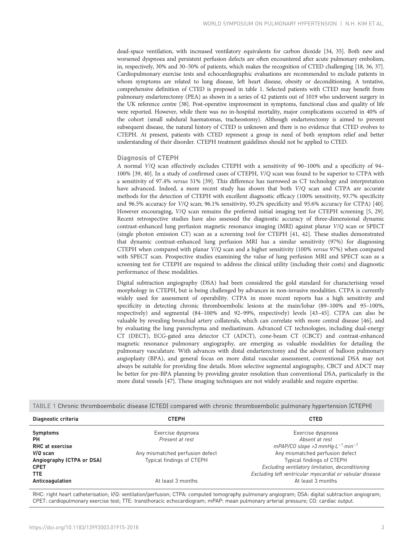dead-space ventilation, with increased ventilatory equivalents for carbon dioxide [\[34](#page-8-0), [35\]](#page-8-0). Both new and worsened dyspnoea and persistent perfusion defects are often encountered after acute pulmonary embolism, in, respectively, 30% and 30–50% of patients, which makes the recognition of CTED challenging [[18](#page-7-0), [36](#page-8-0), [37](#page-8-0)]. Cardiopulmonary exercise tests and echocardiographic evaluations are recommended to exclude patients in whom symptoms are related to lung disease, left heart disease, obesity or deconditioning. A tentative, comprehensive definition of CTED is proposed in table 1. Selected patients with CTED may benefit from pulmonary endarterectomy (PEA) as shown in a series of 42 patients out of 1019 who underwent surgery in the UK reference centre [\[38](#page-8-0)]. Post-operative improvement in symptoms, functional class and quality of life were reported. However, while there was no in-hospital mortality, major complications occurred in 40% of the cohort (small subdural haematomas, tracheostomy). Although endarterectomy is aimed to prevent subsequent disease, the natural history of CTED is unknown and there is no evidence that CTED evolves to CTEPH. At present, patients with CTED represent a group in need of both symptom relief and better understanding of their disorder. CTEPH treatment guidelines should not be applied to CTED.

#### Diagnosis of CTEPH

A normal V/Q scan effectively excludes CTEPH with a sensitivity of 90–100% and a specificity of 94– 100% [[39](#page-8-0), [40\]](#page-8-0). In a study of confirmed cases of CTEPH, V/Q scan was found to be superior to CTPA with a sensitivity of 97.4% versus 51% [[39](#page-8-0)]. This difference has narrowed as CT technology and interpretation have advanced. Indeed, a more recent study has shown that both V/Q scan and CTPA are accurate methods for the detection of CTEPH with excellent diagnostic efficacy (100% sensitivity, 93.7% specificity and 96.5% accuracy for V/Q scan; 96.1% sensitivity, 95.2% specificity and 95.6% accuracy for CTPA) [[40](#page-8-0)]. However encouraging, V/Q scan remains the preferred initial imaging test for CTEPH screening [[5](#page-7-0), [29](#page-8-0)]. Recent retrospective studies have also assessed the diagnostic accuracy of three-dimensional dynamic contrast-enhanced lung perfusion magnetic resonance imaging (MRI) against planar V/Q scan or SPECT (single photon emission CT) scan as a screening tool for CTEPH [\[41](#page-8-0), [42](#page-8-0)]. These studies demonstrated that dynamic contrast-enhanced lung perfusion MRI has a similar sensitivity (97%) for diagnosing CTEPH when compared with planar V/Q scan and a higher sensitivity (100% versus 97%) when compared with SPECT scan. Prospective studies examining the value of lung perfusion MRI and SPECT scan as a screening test for CTEPH are required to address the clinical utility (including their costs) and diagnostic performance of these modalities.

Digital subtraction angiography (DSA) had been considered the gold standard for characterising vessel morphology in CTEPH, but is being challenged by advances in non-invasive modalities. CTPA is currently widely used for assessment of operability. CTPA in more recent reports has a high sensitivity and specificity in detecting chronic thromboembolic lesions at the main/lobar (89–100% and 95–100%, respectively) and segmental (84–100% and 92–99%, respectively) levels [\[43](#page-8-0)–[45](#page-8-0)]. CTPA can also be valuable by revealing bronchial artery collaterals, which can correlate with more central disease [[46\]](#page-8-0), and by evaluating the lung parenchyma and mediastinum. Advanced CT technologies, including dual-energy CT (DECT), ECG-gated area detector CT (ADCT), cone-beam CT (CBCT) and contrast-enhanced magnetic resonance pulmonary angiography, are emerging as valuable modalities for detailing the pulmonary vasculature. With advances with distal endarterectomy and the advent of balloon pulmonary angioplasty (BPA), and general focus on more distal vascular assessment, conventional DSA may not always be suitable for providing fine details. More selective segmental angiography, CBCT and ADCT may be better for pre-BPA planning by providing greater resolution than conventional DSA, particularly in the more distal vessels [\[47](#page-8-0)]. These imaging techniques are not widely available and require expertise.

| Diagnostic criteria                              | <b>CTEPH</b>                                                 | <b>CTED</b>                                                                                                                        |  |  |
|--------------------------------------------------|--------------------------------------------------------------|------------------------------------------------------------------------------------------------------------------------------------|--|--|
| <b>Symptoms</b><br>PH.<br><b>RHC</b> at exercise | Exercise dyspnoea<br>Present at rest                         | Exercise dyspnoea<br>Absent at rest<br>mPAP/CO slope > 3 mmHq·L <sup>-1</sup> ·min <sup>-1</sup>                                   |  |  |
| $V/Q$ scan<br>Angiography (CTPA or DSA)          | Any mismatched perfusion defect<br>Typical findings of CTEPH | Any mismatched perfusion defect<br>Typical findings of CTEPH                                                                       |  |  |
| <b>CPET</b><br><b>TTE</b><br>Anticoagulation     | At least 3 months                                            | Excluding ventilatory limitation, deconditioning<br>Excluding left ventricular myocardial or valvular disease<br>At least 3 months |  |  |

TABLE 1 Chronic thromboembolic disease (CTED) compared with chronic thromboembolic pulmonary hypertension (CTEPH)

RHC: right heart catheterisation; V/Q: ventilation/perfusion; CTPA: computed tomography pulmonary angiogram; DSA: digital subtraction angiogram; CPET: cardiopulmonary exercise test; TTE: transthoracic echocardiogram; mPAP: mean pulmonary arterial pressure; CO: cardiac output.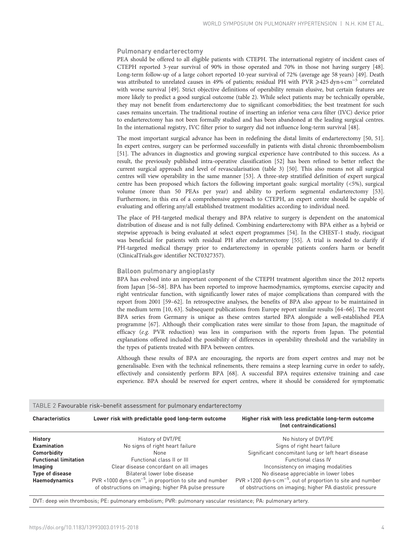# Pulmonary endarterectomy

PEA should be offered to all eligible patients with CTEPH. The international registry of incident cases of CTEPH reported 3-year survival of 90% in those operated and 70% in those not having surgery [[48](#page-8-0)]. Long-term follow-up of a large cohort reported 10-year survival of 72% (average age 58 years) [\[49\]](#page-8-0). Death was attributed to unrelated causes in 49% of patients; residual PH with PVR ≥425 dyn·s·cm<sup>-5</sup> correlated with worse survival [[49\]](#page-8-0). Strict objective definitions of operability remain elusive, but certain features are more likely to predict a good surgical outcome (table 2). While select patients may be technically operable, they may not benefit from endarterectomy due to significant comorbidities; the best treatment for such cases remains uncertain. The traditional routine of inserting an inferior vena cava filter (IVC) device prior to endarterectomy has not been formally studied and has been abandoned at the leading surgical centres. In the international registry, IVC filter prior to surgery did not influence long-term survival [\[48\]](#page-8-0).

The most important surgical advance has been in redefining the distal limits of endarterectomy [[50](#page-8-0), [51](#page-8-0)]. In expert centres, surgery can be performed successfully in patients with distal chronic thromboembolism [\[51\]](#page-8-0). The advances in diagnostics and growing surgical experience have contributed to this success. As a result, the previously published intra-operative classification [[52](#page-8-0)] has been refined to better reflect the current surgical approach and level of revascularisation [\(table 3\)](#page-4-0) [[50](#page-8-0)]. This also means not all surgical centres will view operability in the same manner [[53](#page-8-0)]. A three-step stratified definition of expert surgical centre has been proposed which factors the following important goals: surgical mortality (<5%), surgical volume (more than 50 PEAs per year) and ability to perform segmental endarterectomy [[53](#page-8-0)]. Furthermore, in this era of a comprehensive approach to CTEPH, an expert centre should be capable of evaluating and offering any/all established treatment modalities according to individual need.

The place of PH-targeted medical therapy and BPA relative to surgery is dependent on the anatomical distribution of disease and is not fully defined. Combining endarterectomy with BPA either as a hybrid or stepwise approach is being evaluated at select expert programmes [\[54\]](#page-8-0). In the CHEST-1 study, riociguat was beneficial for patients with residual PH after endarterectomy [\[55\]](#page-8-0). A trial is needed to clarify if PH-targeted medical therapy prior to endarterectomy in operable patients confers harm or benefit [\(ClinicalTrials.gov](https://clinicaltrials.gov/) identifier NCT0327357).

#### Balloon pulmonary angioplasty

BPA has evolved into an important component of the CTEPH treatment algorithm since the 2012 reports from Japan [[56](#page-8-0)–[58\]](#page-8-0). BPA has been reported to improve haemodynamics, symptoms, exercise capacity and right ventricular function, with significantly lower rates of major complications than compared with the report from 2001 [[59](#page-8-0)–[62\]](#page-9-0). In retrospective analyses, the benefits of BPA also appear to be maintained in the medium term [[10](#page-7-0), [63\]](#page-9-0). Subsequent publications from Europe report similar results [[64](#page-9-0)–[66\]](#page-9-0). The recent BPA series from Germany is unique as these centres started BPA alongside a well-established PEA programme [[67](#page-9-0)]. Although their complication rates were similar to those from Japan, the magnitude of efficacy (e.g. PVR reduction) was less in comparison with the reports from Japan. The potential explanations offered included the possibility of differences in operability threshold and the variability in the types of patients treated with BPA between centres.

Although these results of BPA are encouraging, the reports are from expert centres and may not be generalisable. Even with the technical refinements, there remains a steep learning curve in order to safely, effectively and consistently perform BPA [[68\]](#page-9-0). A successful BPA requires extensive training and case experience. BPA should be reserved for expert centres, where it should be considered for symptomatic

| <b>Characteristics</b>       | Lower risk with predictable good long-term outcome                                  | Higher risk with less predictable long-term outcome<br>(not contraindications)          |
|------------------------------|-------------------------------------------------------------------------------------|-----------------------------------------------------------------------------------------|
| <b>History</b>               | History of DVT/PE                                                                   | No history of DVT/PE                                                                    |
| <b>Examination</b>           | No signs of right heart failure                                                     | Signs of right heart failure                                                            |
| <b>Comorbidity</b>           | None                                                                                | Significant concomitant lung or left heart disease                                      |
| <b>Functional limitation</b> | Functional class II or III                                                          | Functional class IV                                                                     |
| Imaging                      | Clear disease concordant on all images                                              | Inconsistency on imaging modalities                                                     |
| Type of disease              | Bilateral lower lobe disease                                                        | No disease appreciable in lower lobes                                                   |
| <b>Haemodynamics</b>         | PVR <1000 dyn $\cdot$ s $\cdot$ cm <sup>-5</sup> , in proportion to site and number | PVR >1200 dyn $\cdot$ s $\cdot$ cm <sup>-5</sup> , out of proportion to site and number |
|                              | of obstructions on imaging; higher PA pulse pressure                                | of obstructions on imaging; higher PA diastolic pressure                                |

# TABLE 2 Favourable risk–benefit assessment for pulmonary endarterectomy

DVT: deep vein thrombosis; PE: pulmonary embolism; PVR: pulmonary vascular resistance; PA: pulmonary artery.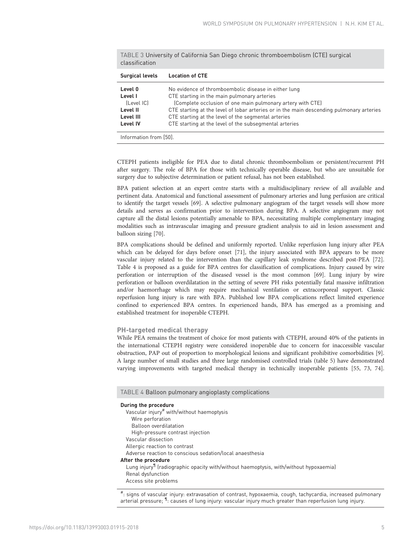| <b>Surgical levels</b> | <b>Location of CTE</b>                                                                   |
|------------------------|------------------------------------------------------------------------------------------|
| Level 0                | No evidence of thromboembolic disease in either lung                                     |
| Level I                | CTE starting in the main pulmonary arteries                                              |
| [Level IC]             | (Complete occlusion of one main pulmonary artery with CTE)                               |
| Level II               | CTE starting at the level of lobar arteries or in the main descending pulmonary arteries |
| Level III              | CTE starting at the level of the segmental arteries                                      |
| <b>Level IV</b>        | CTE starting at the level of the subsegmental arteries                                   |

<span id="page-4-0"></span>TABLE 3 University of California San Diego chronic thromboembolism (CTE) surgical classification

Information from [50].

CTEPH patients ineligible for PEA due to distal chronic thromboembolism or persistent/recurrent PH after surgery. The role of BPA for those with technically operable disease, but who are unsuitable for surgery due to subjective determination or patient refusal, has not been established.

BPA patient selection at an expert centre starts with a multidisciplinary review of all available and pertinent data. Anatomical and functional assessment of pulmonary arteries and lung perfusion are critical to identify the target vessels [[69](#page-9-0)]. A selective pulmonary angiogram of the target vessels will show more details and serves as confirmation prior to intervention during BPA. A selective angiogram may not capture all the distal lesions potentially amenable to BPA, necessitating multiple complementary imaging modalities such as intravascular imaging and pressure gradient analysis to aid in lesion assessment and balloon sizing [\[70\]](#page-9-0).

BPA complications should be defined and uniformly reported. Unlike reperfusion lung injury after PEA which can be delayed for days before onset [\[71\]](#page-9-0), the injury associated with BPA appears to be more vascular injury related to the intervention than the capillary leak syndrome described post-PEA [[72](#page-9-0)]. Table 4 is proposed as a guide for BPA centres for classification of complications. Injury caused by wire perforation or interruption of the diseased vessel is the most common [\[69\]](#page-9-0). Lung injury by wire perforation or balloon overdilatation in the setting of severe PH risks potentially fatal massive infiltration and/or haemorrhage which may require mechanical ventilation or extracorporeal support. Classic reperfusion lung injury is rare with BPA. Published low BPA complications reflect limited experience confined to experienced BPA centres. In experienced hands, BPA has emerged as a promising and established treatment for inoperable CTEPH.

#### PH-targeted medical therapy

While PEA remains the treatment of choice for most patients with CTEPH, around 40% of the patients in the international CTEPH registry were considered inoperable due to concern for inaccessible vascular obstruction, PAP out of proportion to morphological lesions and significant prohibitive comorbidities [\[9](#page-7-0)]. A large number of small studies and three large randomised controlled trials [\(table 5\)](#page-5-0) have demonstrated varying improvements with targeted medical therapy in technically inoperable patients [\[55](#page-8-0), [73, 74](#page-9-0)].

TABLE 4 Balloon pulmonary angioplasty complications

# During the procedure

Vascular injury# with/without haemoptysis Wire perforation Balloon overdilatation High-pressure contrast injection Vascular dissection Allergic reaction to contrast Adverse reaction to conscious sedation/local anaesthesia After the procedure Lung injury¶ (radiographic opacity with/without haemoptysis, with/without hypoxaemia) Renal dysfunction Access site problems

 $^{\#}$ : signs of vascular injury: extravasation of contrast, hypoxaemia, cough, tachycardia, increased pulmonary arterial pressure; ¶ : causes of lung injury: vascular injury much greater than reperfusion lung injury.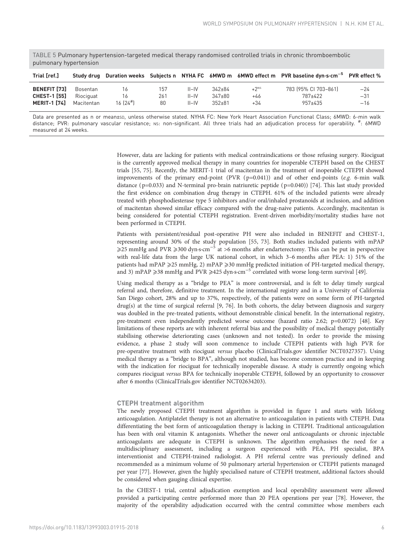| pulmonary hypertension                                            |                                     |                    |                  |                                 |                                      |                                    |                                                                                                         |                         |  |  |
|-------------------------------------------------------------------|-------------------------------------|--------------------|------------------|---------------------------------|--------------------------------------|------------------------------------|---------------------------------------------------------------------------------------------------------|-------------------------|--|--|
| Trial [ref.]                                                      | Study drug                          |                    |                  |                                 |                                      |                                    | Duration weeks Subjects n NYHA FC 6MWD m 6MWD effect m PVR baseline dyn-s-cm <sup>-5</sup> PVR effect % |                         |  |  |
| <b>BENEFIT [73]</b><br><b>CHEST-1 [55]</b><br><b>MERIT-1 [74]</b> | Bosentan<br>Riociauat<br>Macitentan | 16<br>16<br>16[24] | 157<br>261<br>80 | $II-IV$<br>$II$ -IV<br>$II$ -IV | $342+84$<br>$347 + 80$<br>$352 + 81$ | $+2^{\text{NS}}$<br>$+46$<br>$+34$ | 783 (95% CI 703-861)<br>787±422<br>957±435                                                              | $-24$<br>$-31$<br>$-16$ |  |  |

<span id="page-5-0"></span>TABLE 5 Pulmonary hypertension-targeted medical therapy randomised controlled trials in chronic thromboembolic

Data are presented as n or mean±sp, unless otherwise stated. NYHA FC: New York Heart Association Functional Class; 6MWD: 6-min walk distance; PVR: pulmonary vascular resistance; Ns: non-significant. All three trials had an adjudication process for operability. <sup>#</sup>: 6MWD measured at 24 weeks.

> However, data are lacking for patients with medical contraindications or those refusing surgery. Riociguat is the currently approved medical therapy in many countries for inoperable CTEPH based on the CHEST trials [\[55,](#page-8-0) [75\]](#page-9-0). Recently, the MERIT-1 trial of macitentan in the treatment of inoperable CTEPH showed improvements of the primary end-point  $(PVR ( p=0.041))$  and of other end-points (e.g. 6-min walk distance ( $p=0.033$ ) and N-terminal pro-brain natriuretic peptide ( $p=0.040$ )) [[74](#page-9-0)]. This last study provided the first evidence on combination drug therapy in CTEPH. 61% of the included patients were already treated with phosphodiesterase type 5 inhibitors and/or oral/inhaled prostanoids at inclusion, and addition of macitentan showed similar efficacy compared with the drug-naive patients. Accordingly, macitentan is being considered for potential CTEPH registration. Event-driven morbidity/mortality studies have not been performed in CTEPH.

> Patients with persistent/residual post-operative PH were also included in BENEFIT and CHEST-1, representing around 30% of the study population [[55](#page-8-0), [73\]](#page-9-0). Both studies included patients with mPAP ⩾25 mmHg and PVR ⩾300 dyn·s·cm−<sup>5</sup> at >6 months after endarterectomy. This can be put in perspective with real-life data from the large UK national cohort, in which 3–6 months after PEA: 1) 51% of the patients had mPAP  $\geq$ 25 mmHg, 2) mPAP  $\geq$ 30 mmHg predicted initiation of PH-targeted medical therapy, and 3) mPAP ≥38 mmHg and PVR ≥425 dyn·s·cm<sup>-5</sup> correlated with worse long-term survival [\[49\]](#page-8-0).

> Using medical therapy as a "bridge to PEA" is more controversial, and is felt to delay timely surgical referral and, therefore, definitive treatment. In the international registry and in a University of California San Diego cohort, 28% and up to 37%, respectively, of the patients were on some form of PH-targeted drug(s) at the time of surgical referral [\[9](#page-7-0), [76\]](#page-9-0). In both cohorts, the delay between diagnosis and surgery was doubled in the pre-treated patients, without demonstrable clinical benefit. In the international registry, pre-treatment even independently predicted worse outcome (hazard ratio 2.62; p=0.0072) [[48](#page-8-0)]. Key limitations of these reports are with inherent referral bias and the possibility of medical therapy potentially stabilising otherwise deteriorating cases (unknown and not tested). In order to provide the missing evidence, a phase 2 study will soon commence to include CTEPH patients with high PVR for pre-operative treatment with riociguat versus placebo [\(ClinicalTrials.gov](https://clinicaltrials.gov/) identifier NCT0327357). Using medical therapy as a "bridge to BPA", although not studied, has become common practice and in keeping with the indication for riociguat for technically inoperable disease. A study is currently ongoing which compares riociguat versus BPA for technically inoperable CTEPH, followed by an opportunity to crossover after 6 months ([ClinicalTrials.gov](https://clinicaltrials.gov/) identifier NCT02634203).

# CTEPH treatment algorithm

The newly proposed CTEPH treatment algorithm is provided in [figure 1](#page-6-0) and starts with lifelong anticoagulation. Antiplatelet therapy is not an alternative to anticoagulation in patients with CTEPH. Data differentiating the best form of anticoagulation therapy is lacking in CTEPH. Traditional anticoagulation has been with oral vitamin K antagonists. Whether the newer oral anticoagulants or chronic injectable anticoagulants are adequate in CTEPH is unknown. The algorithm emphasises the need for a multidisciplinary assessment, including a surgeon experienced with PEA, PH specialist, BPA interventionist and CTEPH-trained radiologist. A PH referral centre was previously defined and recommended as a minimum volume of 50 pulmonary arterial hypertension or CTEPH patients managed per year [[77](#page-9-0)]. However, given the highly specialised nature of CTEPH treatment, additional factors should be considered when gauging clinical expertise.

In the CHEST-1 trial, central adjudication exemption and local operability assessment were allowed provided a participating centre performed more than 20 PEA operations per year [[78\]](#page-9-0). However, the majority of the operability adjudication occurred with the central committee whose members each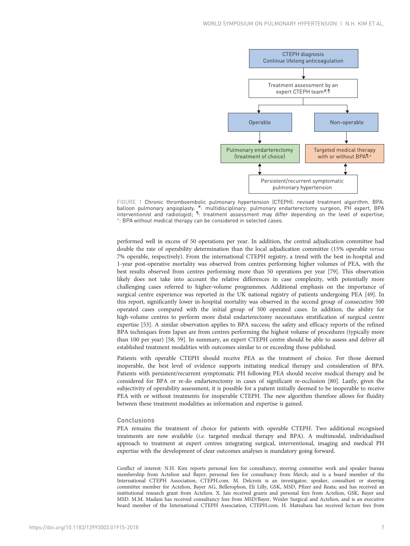<span id="page-6-0"></span>

FIGURE 1 Chronic thromboembolic pulmonary hypertension (CTEPH): revised treatment algorithm. BPA: balloon pulmonary angioplasty. #: multidisciplinary: pulmonary endarterectomy surgeon, PH expert, BPA<br>interventionist and radiologist; 1: treatment assessment may differ depending on the level of expertise;<br>\*: BPA without : BPA without medical therapy can be considered in selected cases.

performed well in excess of 50 operations per year. In addition, the central adjudication committee had double the rate of operability determination than the local adjudication committee (15% operable versus 7% operable, respectively). From the international CTEPH registry, a trend with the best in-hospital and 1-year post-operative mortality was observed from centres performing higher volumes of PEA, with the best results observed from centres performing more than 50 operations per year [\[79](#page-9-0)]. This observation likely does not take into account the relative differences in case complexity, with potentially more challenging cases referred to higher-volume programmes. Additional emphasis on the importance of surgical centre experience was reported in the UK national registry of patients undergoing PEA [\[49\]](#page-8-0). In this report, significantly lower in-hospital mortality was observed in the second group of consecutive 500 operated cases compared with the initial group of 500 operated cases. In addition, the ability for high-volume centres to perform more distal endarterectomy necessitates stratification of surgical centre expertise [[53\]](#page-8-0). A similar observation applies to BPA success; the safety and efficacy reports of the refined BPA techniques from Japan are from centres performing the highest volume of procedures (typically more than 100 per year) [\[58, 59](#page-8-0)]. In summary, an expert CTEPH centre should be able to assess and deliver all established treatment modalities with outcomes similar to or exceeding those published.

Patients with operable CTEPH should receive PEA as the treatment of choice. For those deemed inoperable, the best level of evidence supports initiating medical therapy and consideration of BPA. Patients with persistent/recurrent symptomatic PH following PEA should receive medical therapy and be considered for BPA or re-do endarterectomy in cases of significant re-occlusion [[80](#page-9-0)]. Lastly, given the subjectivity of operability assessment, it is possible for a patient initially deemed to be inoperable to receive PEA with or without treatments for inoperable CTEPH. The new algorithm therefore allows for fluidity between these treatment modalities as information and expertise is gained.

#### **Conclusions**

PEA remains the treatment of choice for patients with operable CTEPH. Two additional recognised treatments are now available (i.e. targeted medical therapy and BPA). A multimodal, individualised approach to treatment at expert centres integrating surgical, interventional, imaging and medical PH expertise with the development of clear outcomes analyses is mandatory going forward.

Conflict of interest: N.H. Kim reports personal fees for consultancy, steering committee work and speaker bureau membership from Actelion and Bayer; personal fees for consultancy from Merck; and is a board member of the International CTEPH Association, [CTEPH.com.](https://www.cteph.com/) M. Delcroix is an investigator, speaker, consultant or steering committee member for Actelion, Bayer AG, Bellerophon, Eli Lilly, GSK, MSD, Pfizer and Reata; and has received an institutional research grant from Actelion. X. Jais received grants and personal fees from Actelion, GSK, Bayer and MSD. M.M. Madani has received consultancy fees from MSD/Bayer, Wexler Surgical and Actelion, and is an executive board member of the International CTEPH Association, [CTEPH.com.](https://www.cteph.com/) H. Matsubara has received lecture fees from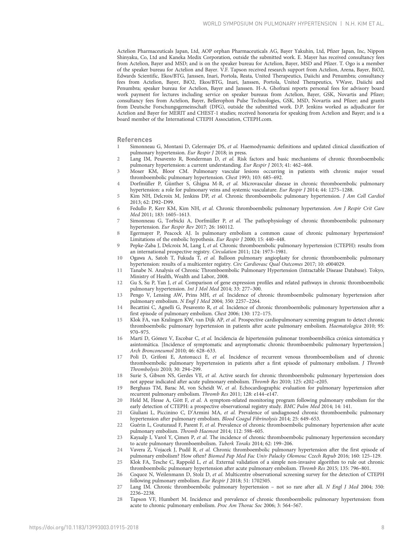<span id="page-7-0"></span>Actelion Pharmaceuticals Japan, Ltd, AOP orphan Pharmaceuticals AG, Bayer Yakuhin, Ltd, Pfizer Japan, Inc, Nippon Shinyaku, Co, Ltd and Kaneka Medix Corporation, outside the submitted work. E. Mayer has received consultancy fees from Actelion, Bayer and MSD; and is on the speaker bureau for Actelion, Bayer, MSD and Pfizer. T. Ogo is a member of the speaker bureau for Actelion and Bayer. V.F. Tapson received research support from Actelion, Arena, Bayer, BiO2, Edwards Scientific, Ekos/BTG, Janssen, Inari, Portola, Reata, United Therapeutics, Daiichi and Penumbra; consultancy fees from Actelion, Bayer, BiO2, Ekos/BTG, Inari, Janssen, Portola, United Therapeutics, VWave, Daiichi and Penumbra; speaker bureau for Actelion, Bayer and Janssen. H-A. Ghofrani reports personal fees for advisory board work payment for lectures including service on speaker bureaus from Actelion, Bayer, GSK, Novartis and Pfizer; consultancy fees from Actelion, Bayer, Bellerophon Pulse Technologies, GSK, MSD, Novartis and Pfizer; and grants from Deutsche Forschungsgemeinschaft (DFG), outside the submitted work. D.P. Jenkins worked as adjudicator for Actelion and Bayer for MERIT and CHEST-1 studies; received honoraria for speaking from Actelion and Bayer; and is a board member of the International CTEPH Association, [CTEPH.com.](https://www.cteph.com/)

#### References

- 1 Simonneau G, Montani D, Celermajer DS, et al. Haemodynamic definitions and updated clinical classification of pulmonary hypertension. Eur Respir J 2018; in press.
- 2 Lang IM, Pesavento R, Bonderman D, et al. Risk factors and basic mechanisms of chronic thromboembolic pulmonary hypertension: a current understanding. Eur Respir J 2013; 41: 462–468.
- 3 Moser KM, Bloor CM. Pulmonary vascular lesions occurring in patients with chronic major vessel thromboembolic pulmonary hypertension. Chest 1993; 103: 685–692.
- 4 Dorfmüller P, Günther S, Ghigna M-R, et al. Microvascular disease in chronic thromboembolic pulmonary hypertension: a role for pulmonary veins and systemic vasculature. Eur Respir J 2014; 44: 1275–1288.
- 5 Kim NH, Delcroix M, Jenkins DP, et al. Chronic thromboembolic pulmonary hypertension. J Am Coll Cardiol 2013; 62: D92–D99.
- 6 Fedullo P, Kerr KM, Kim NH, et al. Chronic thromboembolic pulmonary hypertension. Am J Respir Crit Care Med 2011; 183: 1605–1613.
- 7 Simonneau G, Torbicki A, Dorfmüller P, et al. The pathophysiology of chronic thromboembolic pulmonary hypertension. Eur Respir Rev 2017; 26: 160112.
- 8 Egermayer P, Peacock AJ. Is pulmonary embolism a common cause of chronic pulmonary hypertension? Limitations of the embolic hypothesis. Eur Respir J 2000; 15: 440–448.
- 9 Pepke-Zaba J, Delcroix M, Lang I, et al. Chronic thromboembolic pulmonary hypertension (CTEPH): results from an international prospective registry. Circulation 2011; 124: 1973–1981.
- 10 Ogawa A, Satoh T, Fukuda T, et al. Balloon pulmonary angioplasty for chronic thromboembolic pulmonary hypertension: results of a multicenter registry. Circ Cardiovasc Qual Outcomes 2017; 10: e004029.
- 11 Tanabe N. Analysis of Chronic Thromboembolic Pulmonary Hypertension (Intractable Disease Database). Tokyo, Ministry of Health, Wealth and Labor, 2008.
- 12 Gu S, Su P, Yan J, et al. Comparison of gene expression profiles and related pathways in chronic thromboembolic pulmonary hypertension. Int J Mol Med 2014; 33: 277–300.
- 13 Pengo V, Lensing AW, Prins MH, et al. Incidence of chronic thromboembolic pulmonary hypertension after pulmonary embolism. N Engl J Med 2004; 350: 2257–2264.
- 14 Becattini C, Agnelli G, Pesavento R, et al. Incidence of chronic thromboembolic pulmonary hypertension after a first episode of pulmonary embolism. Chest 2006; 130: 172–175.
- 15 Klok FA, van Kralingen KW, van Dijk AP, et al. Prospective cardiopulmonary screening program to detect chronic thromboembolic pulmonary hypertension in patients after acute pulmonary embolism. Haematologica 2010; 95: 970–975.
- 16 Martí D, Gómez V, Escobar C, et al. Incidencia de hipertensión pulmonar tromboembólica crónica sintomática y asintomática. [Incidence of symptomatic and asymptomatic chronic thromboembolic pulmonary hypertension.] Arch Bronconeumol 2010; 46: 628–633.
- 17 Poli D, Grifoni E, Antonucci E, et al. Incidence of recurrent venous thromboembolism and of chronic thromboembolic pulmonary hypertension in patients after a first episode of pulmonary embolism. J Thromb Thrombolysis 2010; 30: 294–299.
- 18 Surie S, Gibson NS, Gerdes VE, et al. Active search for chronic thromboembolic pulmonary hypertension does not appear indicated after acute pulmonary embolism. Thromb Res 2010; 125: e202–e205.
- 19 Berghaus TM, Barac M, von Scheidt W, et al. Echocardiographic evaluation for pulmonary hypertension after recurrent pulmonary embolism. Thromb Res 2011; 128: e144–e147.
- 20 Held M, Hesse A, Gött F, et al. A symptom-related monitoring program following pulmonary embolism for the early detection of CTEPH: a prospective observational registry study. BMC Pulm Med 2014; 14: 141.
- 21 Giuliani L, Piccinino C, D'Armini MA, et al. Prevalence of undiagnosed chronic thromboembolic pulmonary hypertension after pulmonary embolism. Blood Coagul Fibrinolysis 2014; 25: 649–653.
- 22 Guérin L, Couturaud F, Parent F, et al. Prevalence of chronic thromboembolic pulmonary hypertension after acute pulmonary embolism. Thromb Haemost 2014; 112: 598–605.
- 23 Kayaalp I, Varol Y, Çimen P, et al. The incidence of chronic thromboembolic pulmonary hypertension secondary to acute pulmonary thromboembolism. Tuberk Toraks 2014; 62: 199–206.
- 24 Vavera Z, Vojacek J, Pudil R, et al. Chronic thromboembolic pulmonary hypertension after the first episode of pulmonary embolism? How often? Biomed Pap Med Fac Univ Palacky Olomouc Czech Repub 2016; 160: 125–129.
- 25 Klok FA, Tesche C, Rappold L, et al. External validation of a simple non-invasive algorithm to rule out chronic thromboembolic pulmonary hypertension after acute pulmonary embolism. Thromb Res 2015; 135: 796–801.
- 26 Coquoz N, Weilenmann D, Stolz D, et al. Multicentre observational screening survey for the detection of CTEPH following pulmonary embolism. Eur Respir J 2018; 51: 1702505.
- 27 Lang IM. Chronic thromboembolic pulmonary hypertension not so rare after all. N Engl J Med 2004; 350: 2236–2238.
- 28 Tapson VF, Humbert M. Incidence and prevalence of chronic thromboembolic pulmonary hypertension: from acute to chronic pulmonary embolism. Proc Am Thorac Soc 2006; 3: 564–567.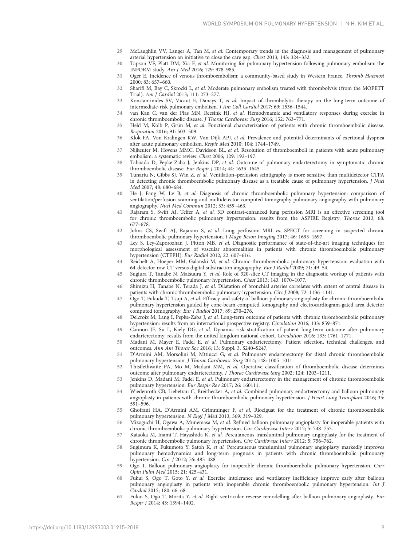- <span id="page-8-0"></span>29 McLaughlin VV, Langer A, Tan M, et al. Contemporary trends in the diagnosis and management of pulmonary arterial hypertension an initiative to close the care gap. Chest 2013; 143: 324–332.
- 30 Tapson VF, Platt DM, Xia F, et al. Monitoring for pulmonary hypertension following pulmonary embolism: the INFORM study. Am J Med 2016; 129: 978–985.
- 31 Oger E. Incidence of venous thromboembolism: a community-based study in Western France. Thromb Haemost 2000; 83: 657–660.
- 32 Sharifi M, Bay C, Skrocki L, et al. Moderate pulmonary embolism treated with thrombolysis (from the MOPETT Trial). Am J Cardiol 2013; 111: 273–277.
- 33 Konstantinides SV, Vicaut E, Danays T, et al. Impact of thrombolytic therapy on the long-term outcome of intermediate-risk pulmonary embolism. J Am Coll Cardiol 2017; 69: 1536–1544.
- 34 van Kan C, van der Plas MN, Reesink HJ, et al. Hemodynamic and ventilatory responses during exercise in chronic thromboembolic disease. J Thorac Cardiovasc Surg 2016; 152: 763–771.
- 35 Held M, Kolb P, Grün M, et al. Functional characterization of patients with chronic thromboembolic disease. Respiration 2016; 91: 503–509.
- 36 Klok FA, Van Kralingen KW, Van Dijk APJ, et al. Prevalence and potential determinants of exertional dyspnea after acute pulmonary embolism. Respir Med 2010; 104: 1744–1749.
- 37 Nijkeuter M, Hovens MMC, Davidson BL, et al. Resolution of thromboemboli in patients with acute pulmonary embolism: a systematic review. Chest 2006; 129: 192–197.
- 38 Taboada D, Pepke-Zaba J, Jenkins DP, et al. Outcome of pulmonary endarterectomy in symptomatic chronic thromboembolic disease. Eur Respir J 2014; 44: 1635–1645.
- 39 Tunariu N, Gibbs SJ, Win Z, et al. Ventilation–perfusion scintigraphy is more sensitive than multidetector CTPA in detecting chronic thromboembolic pulmonary disease as a treatable cause of pulmonary hypertension. J Nucl Med 2007; 48: 680–684.
- 40 He J, Fang W, Lv B, et al. Diagnosis of chronic thromboembolic pulmonary hypertension: comparison of ventilation/perfusion scanning and multidetector computed tomography pulmonary angiography with pulmonary angiography. Nucl Med Commun 2012; 33: 459–463.
- 41 Rajaram S, Swift AJ, Telfer A, et al. 3D contrast-enhanced lung perfusion MRI is an effective screening tool for chronic thromboembolic pulmonary hypertension: results from the ASPIRE Registry. Thorax 2013; 68: 677–678.
- 42 Johns CS, Swift AJ, Rajaram S, et al. Lung perfusion: MRI vs. SPECT for screening in suspected chronic thromboembolic pulmonary hypertension. J Magn Reson Imaging 2017; 46: 1693–1697.
- 43 Ley S, Ley-Zaporozhan J, Pitton MB, et al. Diagnostic performance of state-of-the-art imaging techniques for morphological assessment of vascular abnormalities in patients with chronic thromboembolic pulmonary hypertension (CTEPH). Eur Radiol 2012; 22: 607–616.
- 44 Reichelt A, Hoeper MM, Galanski M, et al. Chronic thromboembolic pulmonary hypertension: evaluation with 64-detector row CT versus digital substraction angiography. Eur J Radiol 2009; 71: 49–54.
- 45 Sugiura T, Tanabe N, Matsuura Y, et al. Role of 320-slice CT imaging in the diagnostic workup of patients with chronic thromboembolic pulmonary hypertension. Chest 2013; 143: 1070–1077.
- 46 Shimizu H, Tanabe N, Terada J, et al. Dilatation of bronchial arteries correlates with extent of central disease in patients with chronic thromboembolic pulmonary hypertension. Circ J 2008; 72: 1136–1141.
- 47 Ogo T, Fukuda T, Tsuji A, et al. Efficacy and safety of balloon pulmonary angioplasty for chronic thromboembolic pulmonary hypertension guided by cone-beam computed tomography and electrocardiogram-gated area detector computed tomography. Eur J Radiol 2017; 89: 270–276.
- 48 Delcroix M, Lang I, Pepke-Zaba J, et al. Long-term outcome of patients with chronic thromboembolic pulmonary hypertension: results from an international prospective registry. Circulation 2016; 133: 859–871.
- 49 Cannon JE, Su L, Kiely DG, et al. Dynamic risk stratification of patient long-term outcome after pulmonary endarterectomy: results from the united kingdom national cohort. Circulation 2016; 133: 1761–1771.
- 50 Madani M, Mayer E, Fadel E, et al. Pulmonary endarterectomy. Patient selection, technical challenges, and outcomes. Ann Am Thorac Soc 2016; 13: Suppl. 3, S240–S247.
- 51 D'Armini AM, Morsolini M, Mttiucci G, et al. Pulmonary endarterectomy for distal chronic thromboembolic pulmonary hypertension. J Thorac Cardiovasc Surg 2014; 148: 1005–1011.
- 52 Thistlethwaite PA, Mo M, Madani MM, et al. Operative classification of thromboembolic disease determines outcome after pulmonary endarterectomy. J Thorac Cardiovasc Surg 2002; 124: 1203–1211.
- 53 Jenkins D, Madani M, Fadel E, et al. Pulmonary endarterectomy in the management of chronic thromboembolic pulmonary hypertension. Eur Respir Rev 2017; 26: 160111.
- 54 Wiedenroth CB, Liebetrau C, Breithecker A, et al. Combined pulmonary endarterectomy and balloon pulmonary angioplasty in patients with chronic thromboembolic pulmonary hypertension. J Heart Lung Transplant 2016; 35: 591–596.
- 55 Ghofrani HA, D'Armini AM, Grimminger F, et al. Riociguat for the treatment of chronic thromboembolic pulmonary hypertension. N Engl J Med 2013; 369: 319–329.
- 56 Mizoguchi H, Ogawa A, Munemasa M, et al. Refined balloon pulmonary angioplasty for inoperable patients with chronic thromboembolic pulmonary hypertension. Circ Cardiovasc Interv 2012; 5: 748–755.
- 57 Kataoka M, Inami T, Hayashida K, et al. Percutaneous transluminal pulmonary angioplasty for the treatment of chronic thromboembolic pulmonary hypertension. Circ Cardiovasc Interv 2012; 5: 756–762.
- 58 Sugimura K, Fukumoto Y, Satoh K, et al. Percutaneous transluminal pulmonary angioplasty markedly improves pulmonary hemodynamics and long-term prognosis in patients with chronic thromboembolic pulmonary hypertension. Circ J 2012; 76: 485–488.
- 59 Ogo T. Balloon pulmonary angioplasty for inoperable chronic thromboembolic pulmonary hypertension. Curr Opin Pulm Med 2015; 21: 425–431.
- 60 Fukui S, Ogo T, Goto Y, et al. Exercise intolerance and ventilatory inefficiency improve early after balloon pulmonary angioplasty in patients with inoperable chronic thromboembolic pulmonary hypertension. Int J Cardiol 2015; 180: 66–68.
- 61 Fukui S, Ogo T, Morita Y, et al. Right ventricular reverse remodelling after balloon pulmonary angioplasty. Eur Respir J 2014; 43: 1394–1402.